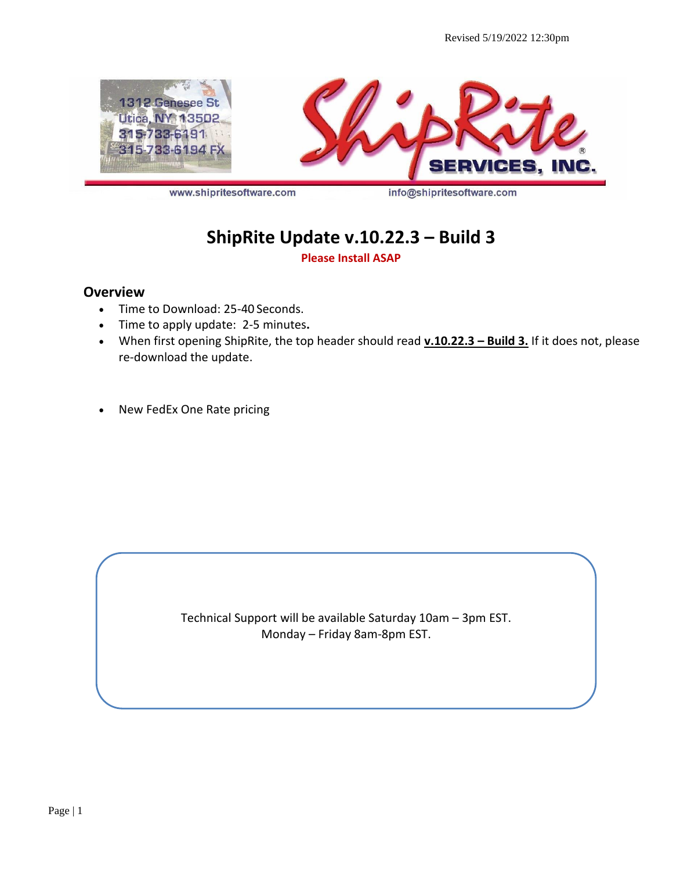

www.shipritesoftware.com

info@shipritesoftware.com

# **ShipRite Update v.10.22.3 – Build 3**

**Please Install ASAP**

#### **Overview**

- Time to Download: 25-40 Seconds.
- Time to apply update: 2-5 minutes**.**
- When first opening ShipRite, the top header should read **v.10.22.3 – Build 3.** If it does not, please re-download the update.
- New FedEx One Rate pricing

Technical Support will be available Saturday 10am – 3pm EST. Monday – Friday 8am-8pm EST.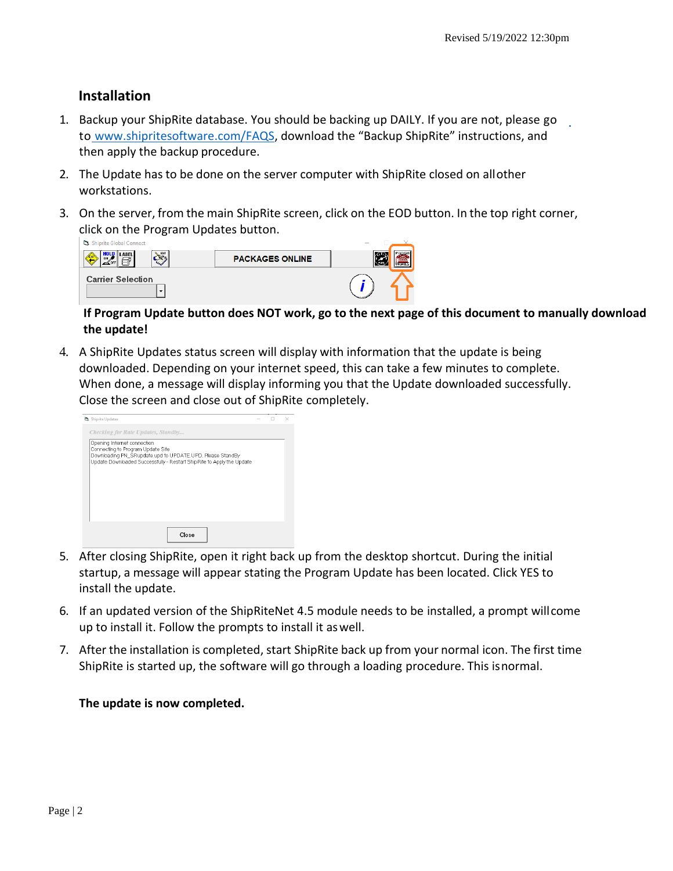### **Installation**

- 1. Backup your ShipRite database. You should be backing up DAILY. If you are not, please go to [www.shipritesoftware.com/FAQS](http://www.shipritesoftware.com/FAQS), download the "Backup ShipRite" instructions, and then apply the backup procedure.
- 2. The Update has to be done on the server computer with ShipRite closed on allother workstations.
- 3. On the server, from the main ShipRite screen, click on the EOD button. In the top right corner, click on the Program Updates button.

| Shiprite Global Connect  |                        |  |
|--------------------------|------------------------|--|
| EDIT<br>LABEL            | <b>PACKAGES ONLINE</b> |  |
| <b>Carrier Selection</b> |                        |  |

#### **If Program Update button does NOT work, go to the next page of this document to manually download the update!**

4. A ShipRite Updates status screen will display with information that the update is being downloaded. Depending on your internet speed, this can take a few minutes to complete. When done, a message will display informing you that the Update downloaded successfully. Close the screen and close out of ShipRite completely.

| Shiprite Updates                                                                                                                                                                                       |  | × |
|--------------------------------------------------------------------------------------------------------------------------------------------------------------------------------------------------------|--|---|
| Checking for Rate Updates, Standby                                                                                                                                                                     |  |   |
| Opening Internet connection<br>Connecting to Program Update Site<br>Downloading PN_SRupdate.upd to UPDATE.UPD, Please StandBy<br>Update Downloaded Successfully - Restart ShipRite to Apply the Update |  |   |
| Close                                                                                                                                                                                                  |  |   |

- 5. After closing ShipRite, open it right back up from the desktop shortcut. During the initial startup, a message will appear stating the Program Update has been located. Click YES to install the update.
- 6. If an updated version of the ShipRiteNet 4.5 module needs to be installed, a prompt willcome up to install it. Follow the prompts to install it aswell.
- 7. After the installation is completed, start ShipRite back up from your normal icon. The first time ShipRite is started up, the software will go through a loading procedure. This isnormal.

#### **The update is now completed.**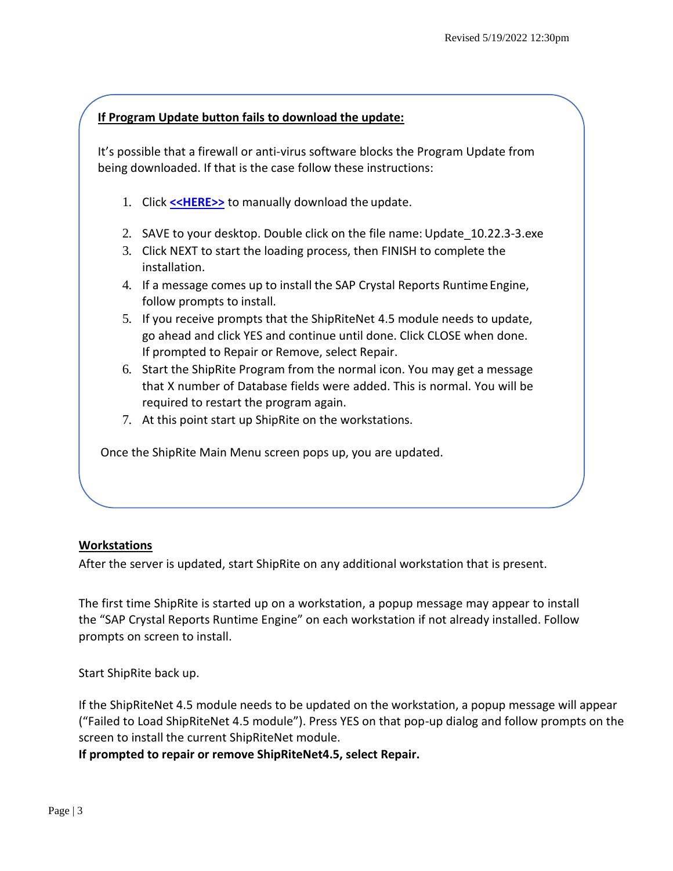#### **If Program Update button fails to download the update:**

It's possible that a firewall or anti-virus software blocks the Program Update from being downloaded. If that is the case follow these instructions:

- 1. Click **[<<HERE>>](http://support.shipritesoftware.com/ShipRite_Updates/Update_10.22.3-3.exe)** to manually download the update.
- 2. SAVE to your desktop. Double click on the file name: Update\_10.22.3-3.exe
- 3. Click NEXT to start the loading process, then FINISH to complete the installation.
- 4. If a message comes up to install the SAP Crystal Reports Runtime Engine, follow prompts to install.
- 5. If you receive prompts that the ShipRiteNet 4.5 module needs to update, go ahead and click YES and continue until done. Click CLOSE when done. If prompted to Repair or Remove, select Repair.
- 6. Start the ShipRite Program from the normal icon. You may get a message that X number of Database fields were added. This is normal. You will be required to restart the program again.
- 7. At this point start up ShipRite on the workstations.

Once the ShipRite Main Menu screen pops up, you are updated.

#### **Workstations**

After the server is updated, start ShipRite on any additional workstation that is present.

The first time ShipRite is started up on a workstation, a popup message may appear to install the "SAP Crystal Reports Runtime Engine" on each workstation if not already installed. Follow prompts on screen to install.

Start ShipRite back up.

If the ShipRiteNet 4.5 module needs to be updated on the workstation, a popup message will appear ("Failed to Load ShipRiteNet 4.5 module"). Press YES on that pop-up dialog and follow prompts on the screen to install the current ShipRiteNet module.

**If prompted to repair or remove ShipRiteNet4.5, select Repair.**